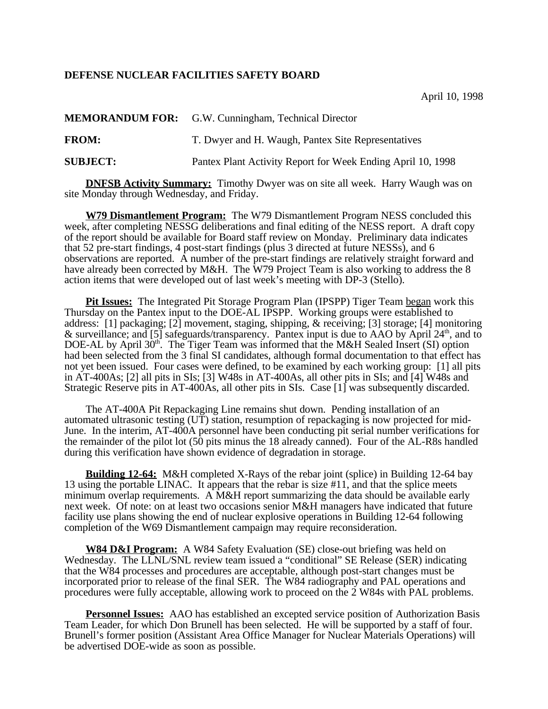## **DEFENSE NUCLEAR FACILITIES SAFETY BOARD**

April 10, 1998

**MEMORANDUM FOR:** G.W. Cunningham, Technical Director **FROM:** T. Dwyer and H. Waugh, Pantex Site Representatives **SUBJECT:** Pantex Plant Activity Report for Week Ending April 10, 1998

**DNFSB Activity Summary:** Timothy Dwyer was on site all week. Harry Waugh was on site Monday through Wednesday, and Friday.

**W79 Dismantlement Program:** The W79 Dismantlement Program NESS concluded this week, after completing NESSG deliberations and final editing of the NESS report. A draft copy of the report should be available for Board staff review on Monday. Preliminary data indicates that 52 pre-start findings, 4 post-start findings (plus 3 directed at future NESSs), and 6 observations are reported. A number of the pre-start findings are relatively straight forward and have already been corrected by M&H. The W79 Project Team is also working to address the 8 action items that were developed out of last week's meeting with DP-3 (Stello).

**Pit Issues:** The Integrated Pit Storage Program Plan (IPSPP) Tiger Team began work this Thursday on the Pantex input to the DOE-AL IPSPP. Working groups were established to address: [1] packaging; [2] movement, staging, shipping, & receiving; [3] storage; [4] monitoring & surveillance; and [5] safeguards/transparency. Pantex input is due to AAO by April  $24<sup>th</sup>$ , and to DOE-AL by April 30<sup>th</sup>. The Tiger Team was informed that the M&H Sealed Insert (SI) option had been selected from the 3 final SI candidates, although formal documentation to that effect has not yet been issued. Four cases were defined, to be examined by each working group: [1] all pits in AT-400As; [2] all pits in SIs; [3] W48s in AT-400As, all other pits in SIs; and [4] W48s and Strategic Reserve pits in AT-400As, all other pits in SIs. Case [1] was subsequently discarded.

The AT-400A Pit Repackaging Line remains shut down. Pending installation of an automated ultrasonic testing (UT) station, resumption of repackaging is now projected for mid-June. In the interim, AT-400A personnel have been conducting pit serial number verifications for the remainder of the pilot lot (50 pits minus the 18 already canned). Four of the AL-R8s handled during this verification have shown evidence of degradation in storage.

**Building 12-64:** M&H completed X-Rays of the rebar joint (splice) in Building 12-64 bay 13 using the portable LINAC. It appears that the rebar is size #11, and that the splice meets minimum overlap requirements. A M&H report summarizing the data should be available early next week. Of note: on at least two occasions senior M&H managers have indicated that future facility use plans showing the end of nuclear explosive operations in Building 12-64 following completion of the W69 Dismantlement campaign may require reconsideration.

**W84 D&I Program:** A W84 Safety Evaluation (SE) close-out briefing was held on Wednesday. The LLNL/SNL review team issued a "conditional" SE Release (SER) indicating that the W84 processes and procedures are acceptable, although post-start changes must be incorporated prior to release of the final SER. The W84 radiography and PAL operations and procedures were fully acceptable, allowing work to proceed on the 2 W84s with PAL problems.

**Personnel Issues:** AAO has established an excepted service position of Authorization Basis Team Leader, for which Don Brunell has been selected. He will be supported by a staff of four. Brunell's former position (Assistant Area Office Manager for Nuclear Materials Operations) will be advertised DOE-wide as soon as possible.